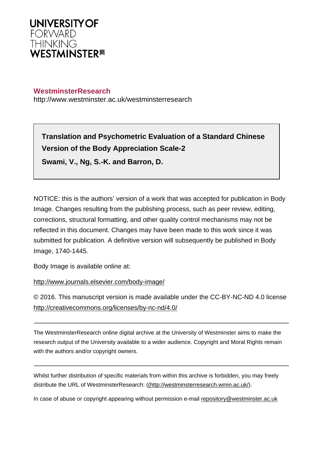

# **WestminsterResearch**

http://www.westminster.ac.uk/westminsterresearch

**Translation and Psychometric Evaluation of a Standard Chinese Version of the Body Appreciation Scale-2 Swami, V., Ng, S.-K. and Barron, D.**

NOTICE: this is the authors' version of a work that was accepted for publication in Body Image. Changes resulting from the publishing process, such as peer review, editing, corrections, structural formatting, and other quality control mechanisms may not be reflected in this document. Changes may have been made to this work since it was submitted for publication. A definitive version will subsequently be published in Body Image, 1740-1445.

Body Image is available online at:

<http://www.journals.elsevier.com/body-image/>

© 2016. This manuscript version is made available under the CC-BY-NC-ND 4.0 license <http://creativecommons.org/licenses/by-nc-nd/4.0/>

The WestminsterResearch online digital archive at the University of Westminster aims to make the research output of the University available to a wider audience. Copyright and Moral Rights remain with the authors and/or copyright owners.

Whilst further distribution of specific materials from within this archive is forbidden, you may freely distribute the URL of WestminsterResearch: [\(\(http://westminsterresearch.wmin.ac.uk/](http://westminsterresearch.wmin.ac.uk/)).

In case of abuse or copyright appearing without permission e-mail <repository@westminster.ac.uk>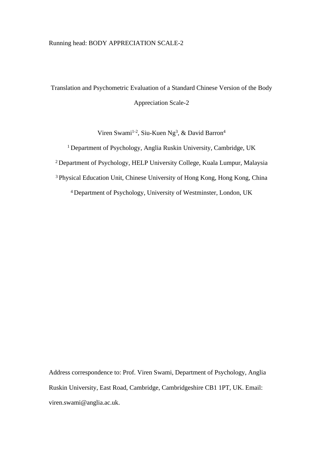# Running head: BODY APPRECIATION SCALE-2

Translation and Psychometric Evaluation of a Standard Chinese Version of the Body Appreciation Scale-2

Viren Swami<sup>1-2</sup>, Siu-Kuen Ng<sup>3</sup>, & David Barron<sup>4</sup>

 Department of Psychology, Anglia Ruskin University, Cambridge, UK Department of Psychology, HELP University College, Kuala Lumpur, Malaysia Physical Education Unit, Chinese University of Hong Kong, Hong Kong, China Department of Psychology, University of Westminster, London, UK

Address correspondence to: Prof. Viren Swami, Department of Psychology, Anglia Ruskin University, East Road, Cambridge, Cambridgeshire CB1 1PT, UK. Email: viren.swami@anglia.ac.uk.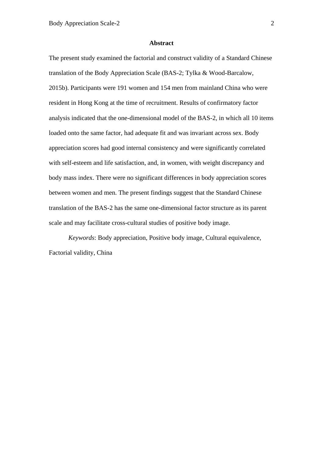### **Abstract**

The present study examined the factorial and construct validity of a Standard Chinese translation of the Body Appreciation Scale (BAS-2; Tylka & Wood-Barcalow, 2015b). Participants were 191 women and 154 men from mainland China who were resident in Hong Kong at the time of recruitment. Results of confirmatory factor analysis indicated that the one-dimensional model of the BAS-2, in which all 10 items loaded onto the same factor, had adequate fit and was invariant across sex. Body appreciation scores had good internal consistency and were significantly correlated with self-esteem and life satisfaction, and, in women, with weight discrepancy and body mass index. There were no significant differences in body appreciation scores between women and men. The present findings suggest that the Standard Chinese translation of the BAS-2 has the same one-dimensional factor structure as its parent scale and may facilitate cross-cultural studies of positive body image.

*Keywords*: Body appreciation, Positive body image, Cultural equivalence, Factorial validity, China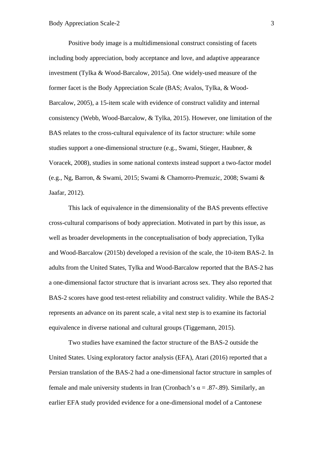Positive body image is a multidimensional construct consisting of facets including body appreciation, body acceptance and love, and adaptive appearance investment (Tylka & Wood-Barcalow, 2015a). One widely-used measure of the former facet is the Body Appreciation Scale (BAS; Avalos, Tylka, & Wood-Barcalow, 2005), a 15-item scale with evidence of construct validity and internal consistency (Webb, Wood-Barcalow, & Tylka, 2015). However, one limitation of the BAS relates to the cross-cultural equivalence of its factor structure: while some studies support a one-dimensional structure (e.g., Swami, Stieger, Haubner, & Voracek, 2008), studies in some national contexts instead support a two-factor model (e.g., Ng, Barron, & Swami, 2015; Swami & Chamorro-Premuzic, 2008; Swami & Jaafar, 2012).

This lack of equivalence in the dimensionality of the BAS prevents effective cross-cultural comparisons of body appreciation. Motivated in part by this issue, as well as broader developments in the conceptualisation of body appreciation, Tylka and Wood-Barcalow (2015b) developed a revision of the scale, the 10-item BAS-2. In adults from the United States, Tylka and Wood-Barcalow reported that the BAS-2 has a one-dimensional factor structure that is invariant across sex. They also reported that BAS-2 scores have good test-retest reliability and construct validity. While the BAS-2 represents an advance on its parent scale, a vital next step is to examine its factorial equivalence in diverse national and cultural groups (Tiggemann, 2015).

Two studies have examined the factor structure of the BAS-2 outside the United States. Using exploratory factor analysis (EFA), Atari (2016) reported that a Persian translation of the BAS-2 had a one-dimensional factor structure in samples of female and male university students in Iran (Cronbach's  $\alpha = .87-.89$ ). Similarly, an earlier EFA study provided evidence for a one-dimensional model of a Cantonese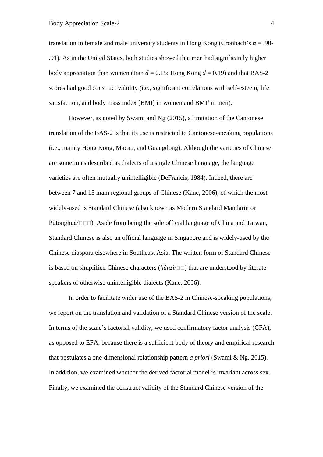translation in female and male university students in Hong Kong (Cronbach's  $\alpha = .90$ -.91). As in the United States, both studies showed that men had significantly higher body appreciation than women (Iran  $d = 0.15$ ; Hong Kong  $d = 0.19$ ) and that BAS-2 scores had good construct validity (i.e., significant correlations with self-esteem, life satisfaction, and body mass index [BMI] in women and BMI<sup>2</sup> in men).

However, as noted by Swami and Ng (2015), a limitation of the Cantonese translation of the BAS-2 is that its use is restricted to Cantonese-speaking populations (i.e., mainly Hong Kong, Macau, and Guangdong). Although the varieties of Chinese are sometimes described as dialects of a single Chinese language, the language varieties are often mutually unintelligible (DeFrancis, 1984). Indeed, there are between 7 and 13 main regional groups of Chinese (Kane, 2006), of which the most widely-used is Standard Chinese (also known as Modern Standard Mandarin or Pǔtōnghuà/ $\Box$ . Aside from being the sole official language of China and Taiwan, Standard Chinese is also an official language in Singapore and is widely-used by the Chinese diaspora elsewhere in Southeast Asia. The written form of Standard Chinese is based on simplified Chinese characters  $(h\grave{a}nzi/\Box\Box)$  that are understood by literate speakers of otherwise unintelligible dialects (Kane, 2006).

In order to facilitate wider use of the BAS-2 in Chinese-speaking populations, we report on the translation and validation of a Standard Chinese version of the scale. In terms of the scale's factorial validity, we used confirmatory factor analysis (CFA), as opposed to EFA, because there is a sufficient body of theory and empirical research that postulates a one-dimensional relationship pattern *a priori* (Swami & Ng, 2015). In addition, we examined whether the derived factorial model is invariant across sex. Finally, we examined the construct validity of the Standard Chinese version of the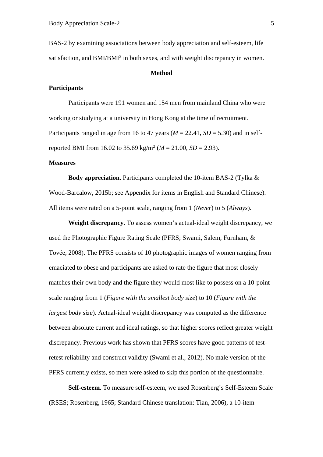BAS-2 by examining associations between body appreciation and self-esteem, life satisfaction, and BMI/BMI<sup>2</sup> in both sexes, and with weight discrepancy in women.

#### **Method**

## **Participants**

Participants were 191 women and 154 men from mainland China who were working or studying at a university in Hong Kong at the time of recruitment. Participants ranged in age from 16 to 47 years  $(M = 22.41, SD = 5.30)$  and in selfreported BMI from 16.02 to 35.69 kg/m<sup>2</sup> (*M* = 21.00, *SD* = 2.93).

## **Measures**

**Body appreciation**. Participants completed the 10-item BAS-2 (Tylka & Wood-Barcalow, 2015b; see Appendix for items in English and Standard Chinese). All items were rated on a 5-point scale, ranging from 1 (*Never*) to 5 (*Always*).

**Weight discrepancy**. To assess women's actual-ideal weight discrepancy, we used the Photographic Figure Rating Scale (PFRS; Swami, Salem, Furnham, & Tovée, 2008). The PFRS consists of 10 photographic images of women ranging from emaciated to obese and participants are asked to rate the figure that most closely matches their own body and the figure they would most like to possess on a 10-point scale ranging from 1 (*Figure with the smallest body size*) to 10 (*Figure with the largest body size*). Actual-ideal weight discrepancy was computed as the difference between absolute current and ideal ratings, so that higher scores reflect greater weight discrepancy. Previous work has shown that PFRS scores have good patterns of testretest reliability and construct validity (Swami et al., 2012). No male version of the PFRS currently exists, so men were asked to skip this portion of the questionnaire.

**Self-esteem**. To measure self-esteem, we used Rosenberg's Self-Esteem Scale (RSES; Rosenberg, 1965; Standard Chinese translation: Tian, 2006), a 10-item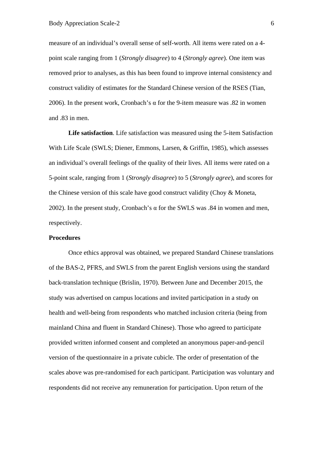measure of an individual's overall sense of self-worth. All items were rated on a 4 point scale ranging from 1 (*Strongly disagree*) to 4 (*Strongly agree*). One item was removed prior to analyses, as this has been found to improve internal consistency and construct validity of estimates for the Standard Chinese version of the RSES (Tian, 2006). In the present work, Cronbach's α for the 9-item measure was .82 in women and .83 in men.

**Life satisfaction**. Life satisfaction was measured using the 5-item Satisfaction With Life Scale (SWLS; Diener, Emmons, Larsen, & Griffin, 1985), which assesses an individual's overall feelings of the quality of their lives. All items were rated on a 5-point scale, ranging from 1 (*Strongly disagree*) to 5 (*Strongly agree*), and scores for the Chinese version of this scale have good construct validity (Choy & Moneta, 2002). In the present study, Cronbach's  $\alpha$  for the SWLS was .84 in women and men, respectively.

## **Procedures**

Once ethics approval was obtained, we prepared Standard Chinese translations of the BAS-2, PFRS, and SWLS from the parent English versions using the standard back-translation technique (Brislin, 1970). Between June and December 2015, the study was advertised on campus locations and invited participation in a study on health and well-being from respondents who matched inclusion criteria (being from mainland China and fluent in Standard Chinese). Those who agreed to participate provided written informed consent and completed an anonymous paper-and-pencil version of the questionnaire in a private cubicle. The order of presentation of the scales above was pre-randomised for each participant. Participation was voluntary and respondents did not receive any remuneration for participation. Upon return of the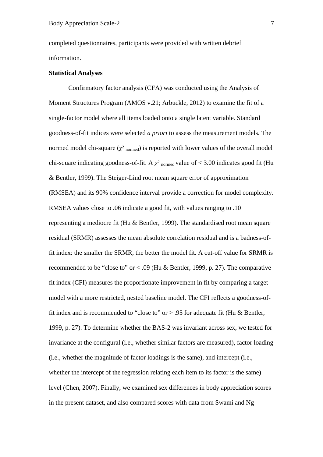completed questionnaires, participants were provided with written debrief information.

## **Statistical Analyses**

Confirmatory factor analysis (CFA) was conducted using the Analysis of Moment Structures Program (AMOS v.21; Arbuckle, 2012) to examine the fit of a single-factor model where all items loaded onto a single latent variable. Standard goodness-of-fit indices were selected *a priori* to assess the measurement models. The normed model chi-square  $(\chi^2)_{\text{normal}}$  is reported with lower values of the overall model chi-square indicating goodness-of-fit. A  $\chi^2$  normed value of < 3.00 indicates good fit (Hu & Bentler, 1999). The Steiger-Lind root mean square error of approximation (RMSEA) and its 90% confidence interval provide a correction for model complexity. RMSEA values close to .06 indicate a good fit, with values ranging to .10 representing a mediocre fit (Hu & Bentler, 1999). The standardised root mean square residual (SRMR) assesses the mean absolute correlation residual and is a badness-offit index: the smaller the SRMR, the better the model fit. A cut-off value for SRMR is recommended to be "close to" or  $< .09$  (Hu & Bentler, 1999, p. 27). The comparative fit index (CFI) measures the proportionate improvement in fit by comparing a target model with a more restricted, nested baseline model. The CFI reflects a goodness-offit index and is recommended to "close to" or  $> .95$  for adequate fit (Hu & Bentler, 1999, p. 27). To determine whether the BAS-2 was invariant across sex, we tested for invariance at the configural (i.e., whether similar factors are measured), factor loading (i.e., whether the magnitude of factor loadings is the same), and intercept (i.e., whether the intercept of the regression relating each item to its factor is the same) level (Chen, 2007). Finally, we examined sex differences in body appreciation scores in the present dataset, and also compared scores with data from Swami and Ng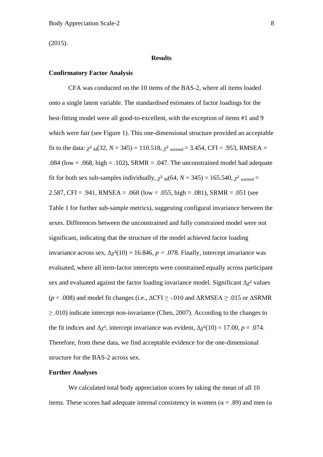(2015).

### **Results**

#### **Confirmatory Factor Analysis**

CFA was conducted on the 10 items of the BAS-2, where all items loaded onto a single latent variable. The standardised estimates of factor loadings for the best-fitting model were all good-to-excellent, with the exception of items #1 and 9 which were fair (see Figure 1). This one-dimensional structure provided an acceptable fit to the data:  $\chi^2$ <sub>M</sub>(32, *N* = 345) = 110.518,  $\chi^2$ <sub>normed</sub> = 3.454, CFI = .953, RMSEA = .084 (low = .068, high = .102), SRMR = .047. The unconstrained model had adequate fit for both sex sub-samples individually,  $\chi^2$ <sub>M</sub>(64, *N* = 345) = 165.540,  $\chi^2$ <sub>normed</sub> = 2.587, CFI = .941, RMSEA = .068 (low = .055, high = .081), SRMR = .051 (see Table 1 for further sub-sample metrics), suggesting configural invariance between the sexes. Differences between the unconstrained and fully constrained model were not significant, indicating that the structure of the model achieved factor loading invariance across sex,  $\Delta \chi^2(10) = 16.846$ ,  $p = .078$ . Finally, intercept invariance was evaluated, where all item-factor intercepts were constrained equally across participant sex and evaluated against the factor loading invariance model. Significant  $\Delta \chi^2$  values ( $p$  < .008) and model fit changes (i.e.,  $\Delta$ CFI  $\geq$  -.010 and  $\Delta$ RMSEA  $\geq$  .015 or  $\Delta$ SRMR  $\geq$  .010) indicate intercept non-invariance (Chen, 2007). According to the changes to the fit indices and  $\Delta \chi^2$ , intercept invariance was evident,  $\Delta \chi^2(10) = 17.00$ ,  $p = .074$ . Therefore, from these data, we find acceptable evidence for the one-dimensional structure for the BAS-2 across sex.

# **Further Analyses**

We calculated total body appreciation scores by taking the mean of all 10 items. These scores had adequate internal consistency in women ( $\alpha = .89$ ) and men ( $\alpha$ )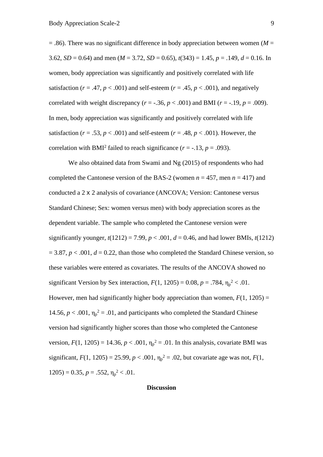$=$  .86). There was no significant difference in body appreciation between women ( $M =$ 3.62, *SD* = 0.64) and men ( $M = 3.72$ , *SD* = 0.65),  $t(343) = 1.45$ ,  $p = .149$ ,  $d = 0.16$ . In women, body appreciation was significantly and positively correlated with life satisfaction ( $r = .47$ ,  $p < .001$ ) and self-esteem ( $r = .45$ ,  $p < .001$ ), and negatively correlated with weight discrepancy ( $r = -.36$ ,  $p < .001$ ) and BMI ( $r = -.19$ ,  $p = .009$ ). In men, body appreciation was significantly and positively correlated with life satisfaction  $(r = .53, p < .001)$  and self-esteem  $(r = .48, p < .001)$ . However, the correlation with BMI<sup>2</sup> failed to reach significance  $(r = -.13, p = .093)$ .

We also obtained data from Swami and Ng (2015) of respondents who had completed the Cantonese version of the BAS-2 (women  $n = 457$ , men  $n = 417$ ) and conducted a 2 x 2 analysis of covariance (ANCOVA; Version: Cantonese versus Standard Chinese; Sex: women versus men) with body appreciation scores as the dependent variable. The sample who completed the Cantonese version were significantly younger,  $t(1212) = 7.99$ ,  $p < .001$ ,  $d = 0.46$ , and had lower BMIs,  $t(1212)$  $= 3.87, p < .001, d = 0.22$ , than those who completed the Standard Chinese version, so these variables were entered as covariates. The results of the ANCOVA showed no significant Version by Sex interaction,  $F(1, 1205) = 0.08$ ,  $p = .784$ ,  $\eta_p^2 < .01$ . However, men had significantly higher body appreciation than women,  $F(1, 1205) =$ 14.56,  $p < .001$ ,  $\eta_p^2 = .01$ , and participants who completed the Standard Chinese version had significantly higher scores than those who completed the Cantonese version,  $F(1, 1205) = 14.36$ ,  $p < .001$ ,  $\eta_p^2 = .01$ . In this analysis, covariate BMI was significant,  $F(1, 1205) = 25.99$ ,  $p < .001$ ,  $\eta_p^2 = .02$ , but covariate age was not,  $F(1, 1205) = 25.99$ ,  $p < .001$ ,  $\eta_p^2 = .02$ , but covariate age was not,  $F(1, 1205) = .001$  $1205$ ) = 0.35,  $p = .552$ ,  $\eta_p^2 < .01$ .

## **Discussion**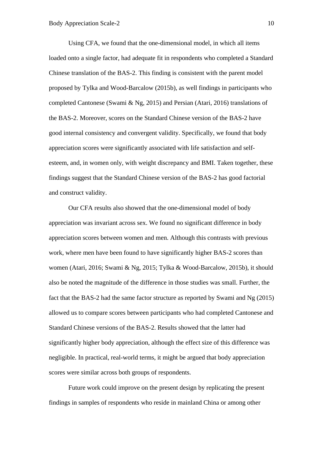Using CFA, we found that the one-dimensional model, in which all items loaded onto a single factor, had adequate fit in respondents who completed a Standard Chinese translation of the BAS-2. This finding is consistent with the parent model proposed by Tylka and Wood-Barcalow (2015b), as well findings in participants who completed Cantonese (Swami & Ng, 2015) and Persian (Atari, 2016) translations of the BAS-2. Moreover, scores on the Standard Chinese version of the BAS-2 have good internal consistency and convergent validity. Specifically, we found that body appreciation scores were significantly associated with life satisfaction and selfesteem, and, in women only, with weight discrepancy and BMI. Taken together, these findings suggest that the Standard Chinese version of the BAS-2 has good factorial and construct validity.

Our CFA results also showed that the one-dimensional model of body appreciation was invariant across sex. We found no significant difference in body appreciation scores between women and men. Although this contrasts with previous work, where men have been found to have significantly higher BAS-2 scores than women (Atari, 2016; Swami & Ng, 2015; Tylka & Wood-Barcalow, 2015b), it should also be noted the magnitude of the difference in those studies was small. Further, the fact that the BAS-2 had the same factor structure as reported by Swami and Ng (2015) allowed us to compare scores between participants who had completed Cantonese and Standard Chinese versions of the BAS-2. Results showed that the latter had significantly higher body appreciation, although the effect size of this difference was negligible. In practical, real-world terms, it might be argued that body appreciation scores were similar across both groups of respondents.

Future work could improve on the present design by replicating the present findings in samples of respondents who reside in mainland China or among other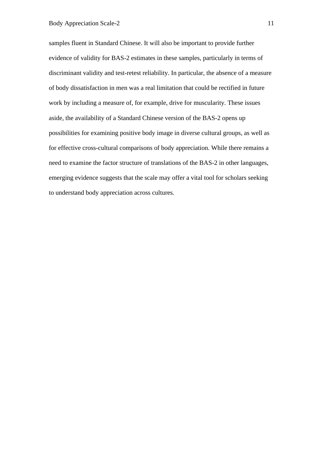samples fluent in Standard Chinese. It will also be important to provide further evidence of validity for BAS-2 estimates in these samples, particularly in terms of discriminant validity and test-retest reliability. In particular, the absence of a measure of body dissatisfaction in men was a real limitation that could be rectified in future work by including a measure of, for example, drive for muscularity. These issues aside, the availability of a Standard Chinese version of the BAS-2 opens up possibilities for examining positive body image in diverse cultural groups, as well as for effective cross-cultural comparisons of body appreciation. While there remains a need to examine the factor structure of translations of the BAS-2 in other languages, emerging evidence suggests that the scale may offer a vital tool for scholars seeking to understand body appreciation across cultures.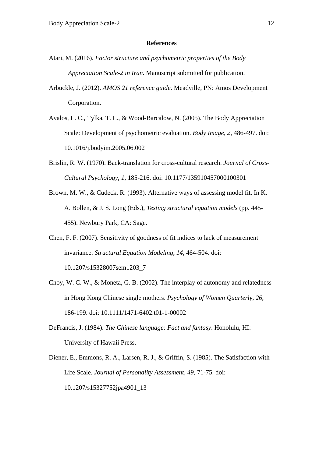#### **References**

- Atari, M. (2016). *Factor structure and psychometric properties of the Body Appreciation Scale-2 in Iran*. Manuscript submitted for publication.
- Arbuckle, J. (2012). *AMOS 21 reference guide*. Meadville, PN: Amos Development Corporation.
- Avalos, L. C., Tylka, T. L., & Wood-Barcalow, N. (2005). The Body Appreciation Scale: Development of psychometric evaluation. *Body Image*, *2*, 486-497. doi: 10.1016/j.bodyim.2005.06.002
- Brislin, R. W. (1970). Back-translation for cross-cultural research. *Journal of Cross-Cultural Psychology*, *1*, 185-216. doi: 10.1177/135910457000100301
- Brown, M. W., & Cudeck, R. (1993). Alternative ways of assessing model fit. In K. A. Bollen, & J. S. Long (Eds.), *Testing structural equation models* (pp. 445- 455). Newbury Park, CA: Sage.
- Chen, F. F. (2007). Sensitivity of goodness of fit indices to lack of measurement invariance. *Structural Equation Modeling*, *14*, 464-504. doi: 10.1207/s15328007sem1203\_7
- Choy, W. C. W., & Moneta, G. B. (2002). The interplay of autonomy and relatedness in Hong Kong Chinese single mothers. *Psychology of Women Quarterly*, *26*, 186-199. doi: 10.1111/1471-6402.t01-1-00002
- DeFrancis, J. (1984). *The Chinese language: Fact and fantasy*. Honolulu, HI: University of Hawaii Press.
- Diener, E., Emmons, R. A., Larsen, R. J., & Griffin, S. (1985). The Satisfaction with Life Scale. *Journal of Personality Assessment*, *49*, 71-75. doi: 10.1207/s15327752jpa4901\_13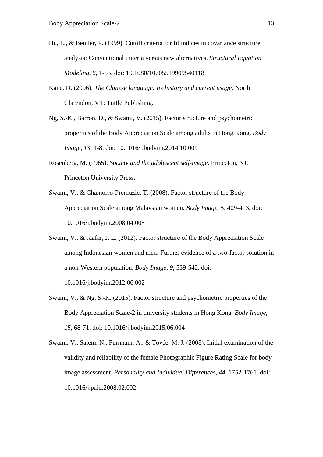- Hu, L., & Bentler, P. (1999). Cutoff criteria for fit indices in covariance structure analysis: Conventional criteria versus new alternatives. *Structural Equation Modeling*, *6*, 1-55. doi: 10.1080/10705519909540118
- Kane, D. (2006). *The Chinese language: Its history and current usage*. North Clarendon, VT: Tuttle Publishing.
- Ng, S.-K., Barron, D., & Swami, V. (2015). Factor structure and psychometric properties of the Body Appreciation Scale among adults in Hong Kong. *Body Image*, *13*, 1-8. doi: 10.1016/j.bodyim.2014.10.009
- Rosenberg, M. (1965). *Society and the adolescent self-image*. Princeton, NJ: Princeton University Press.
- Swami, V., & Chamorro-Premuzic, T. (2008). Factor structure of the Body Appreciation Scale among Malaysian women. *Body Image*, *5*, 409-413. doi: 10.1016/j.bodyim.2008.04.005
- Swami, V., & Jaafar, J. L. (2012). Factor structure of the Body Appreciation Scale among Indonesian women and men: Further evidence of a two-factor solution in a non-Western population. *Body Image*, *9*, 539-542. doi:

10.1016/j.bodyim.2012.06.002

- Swami, V., & Ng, S.-K. (2015). Factor structure and psychometric properties of the Body Appreciation Scale-2 in university students in Hong Kong. *Body Image*, *15*, 68-71. doi: 10.1016/j.bodyim.2015.06.004
- Swami, V., Salem, N., Furnham, A., & Tovée, M. J. (2008). Initial examination of the validity and reliability of the female Photographic Figure Rating Scale for body image assessment. *Personality and Individual Differences*, *44*, 1752-1761. doi: 10.1016/j.paid.2008.02.002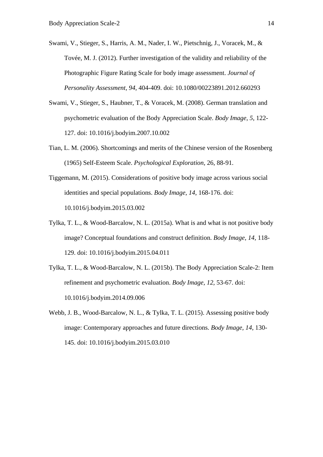- Swami, V., Stieger, S., Harris, A. M., Nader, I. W., Pietschnig, J., Voracek, M., & Tovée, M. J. (2012). Further investigation of the validity and reliability of the Photographic Figure Rating Scale for body image assessment. *Journal of Personality Assessment*, *94*, 404-409. doi: 10.1080/00223891.2012.660293
- Swami, V., Stieger, S., Haubner, T., & Voracek, M. (2008). German translation and psychometric evaluation of the Body Appreciation Scale. *Body Image*, *5*, 122- 127. doi: 10.1016/j.bodyim.2007.10.002
- Tian, L. M. (2006). Shortcomings and merits of the Chinese version of the Rosenberg (1965) Self-Esteem Scale. *Psychological Exploration*, 26, 88-91.
- Tiggemann, M. (2015). Considerations of positive body image across various social identities and special populations. *Body Image*, *14*, 168-176. doi: 10.1016/j.bodyim.2015.03.002
- Tylka, T. L., & Wood-Barcalow, N. L. (2015a). What is and what is not positive body image? Conceptual foundations and construct definition. *Body Image, 14*, 118- 129. doi: 10.1016/j.bodyim.2015.04.011
- Tylka, T. L., & Wood-Barcalow, N. L. (2015b). The Body Appreciation Scale-2: Item refinement and psychometric evaluation. *Body Image*, *12*, 53-67. doi: 10.1016/j.bodyim.2014.09.006
- Webb, J. B., Wood-Barcalow, N. L., & Tylka, T. L. (2015). Assessing positive body image: Contemporary approaches and future directions. *Body Image, 14*, 130- 145. doi: 10.1016/j.bodyim.2015.03.010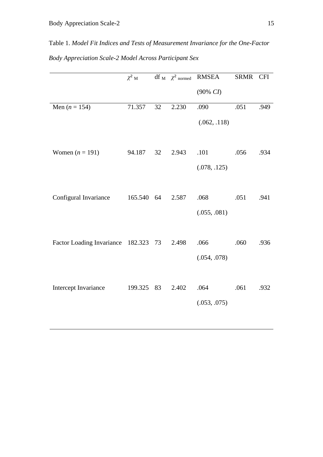Table 1. *Model Fit Indices and Tests of Measurement Invariance for the One-Factor Body Appreciation Scale-2 Model Across Participant Sex*

|                                      | $\chi^2$ M |    | df <sub>M</sub> $\chi^2$ normed | <b>RMSEA</b> | <b>SRMR</b> | <b>CFI</b> |
|--------------------------------------|------------|----|---------------------------------|--------------|-------------|------------|
|                                      |            |    |                                 | $(90\%~CI)$  |             |            |
| Men $(n = 154)$                      | 71.357     | 32 | 2.230                           | .090         | .051        | .949       |
|                                      |            |    |                                 | (.062, .118) |             |            |
|                                      |            |    |                                 |              |             |            |
| Women $(n = 191)$                    | 94.187     | 32 | 2.943                           | .101         | .056        | .934       |
|                                      |            |    |                                 | (.078, .125) |             |            |
|                                      |            |    |                                 |              |             |            |
| Configural Invariance                | 165.540    | 64 | 2.587                           | .068         | .051        | .941       |
|                                      |            |    |                                 | (.055, .081) |             |            |
|                                      |            |    |                                 |              |             |            |
| Factor Loading Invariance 182.323 73 |            |    | 2.498                           | .066         | .060        | .936       |
|                                      |            |    |                                 | (.054, .078) |             |            |
|                                      |            |    |                                 |              |             |            |
| Intercept Invariance                 | 199.325    | 83 | 2.402                           | .064         | .061        | .932       |
|                                      |            |    |                                 | (.053, .075) |             |            |
|                                      |            |    |                                 |              |             |            |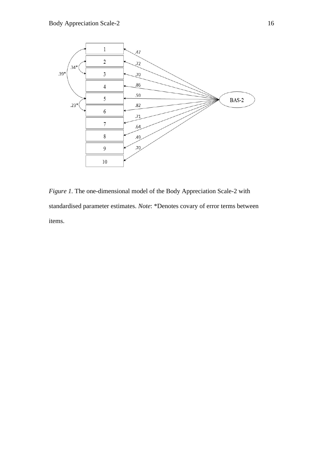

*Figure 1.* The one-dimensional model of the Body Appreciation Scale-2 with standardised parameter estimates. *Note*: \*Denotes covary of error terms between items.